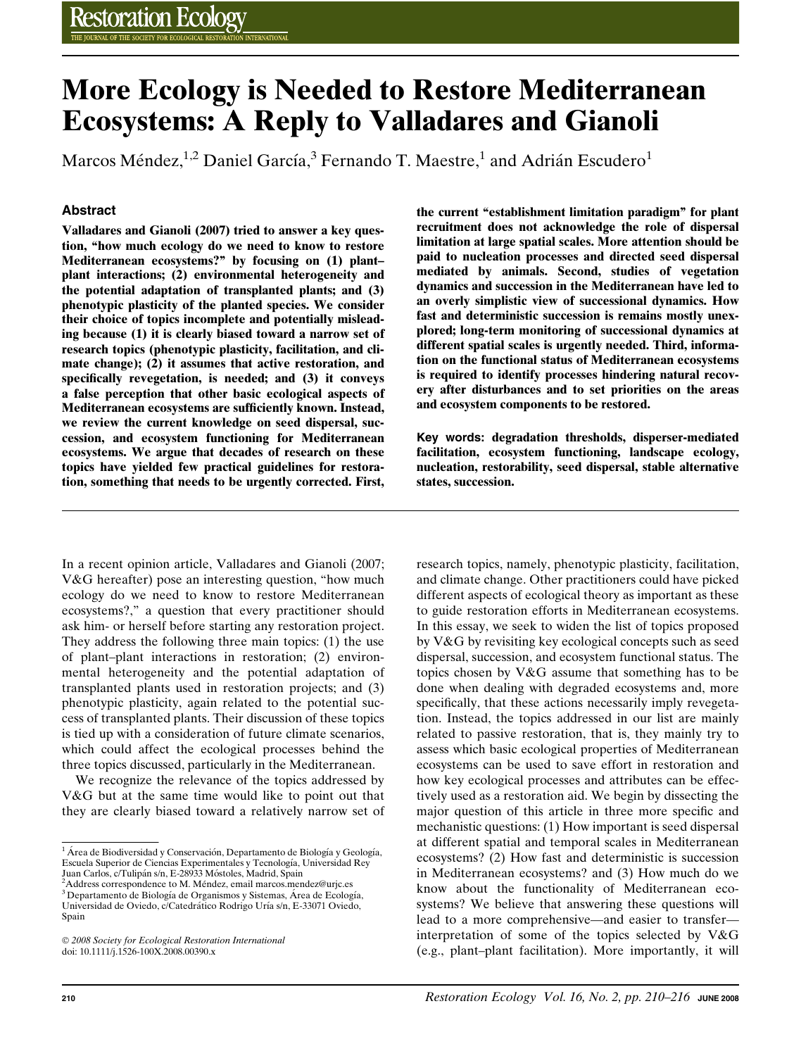# More Ecology is Needed to Restore Mediterranean Ecosystems: A Reply to Valladares and Gianoli

Marcos Méndez,<sup>1,2</sup> Daniel García,<sup>3</sup> Fernando T. Maestre,<sup>1</sup> and Adrián Escudero<sup>1</sup>

#### Abstract

Valladares and Gianoli (2007) tried to answer a key question, ''how much ecology do we need to know to restore Mediterranean ecosystems?'' by focusing on (1) plant– plant interactions; (2) environmental heterogeneity and the potential adaptation of transplanted plants; and (3) phenotypic plasticity of the planted species. We consider their choice of topics incomplete and potentially misleading because (1) it is clearly biased toward a narrow set of research topics (phenotypic plasticity, facilitation, and climate change); (2) it assumes that active restoration, and specifically revegetation, is needed; and (3) it conveys a false perception that other basic ecological aspects of Mediterranean ecosystems are sufficiently known. Instead, we review the current knowledge on seed dispersal, succession, and ecosystem functioning for Mediterranean ecosystems. We argue that decades of research on these topics have yielded few practical guidelines for restoration, something that needs to be urgently corrected. First,

In a recent opinion article, Valladares and Gianoli (2007; V&G hereafter) pose an interesting question, ''how much ecology do we need to know to restore Mediterranean ecosystems?,'' a question that every practitioner should ask him- or herself before starting any restoration project. They address the following three main topics: (1) the use of plant–plant interactions in restoration; (2) environmental heterogeneity and the potential adaptation of transplanted plants used in restoration projects; and (3) phenotypic plasticity, again related to the potential success of transplanted plants. Their discussion of these topics is tied up with a consideration of future climate scenarios, which could affect the ecological processes behind the three topics discussed, particularly in the Mediterranean.

We recognize the relevance of the topics addressed by V&G but at the same time would like to point out that they are clearly biased toward a relatively narrow set of the current "establishment limitation paradigm" for plant recruitment does not acknowledge the role of dispersal limitation at large spatial scales. More attention should be paid to nucleation processes and directed seed dispersal mediated by animals. Second, studies of vegetation dynamics and succession in the Mediterranean have led to an overly simplistic view of successional dynamics. How fast and deterministic succession is remains mostly unexplored; long-term monitoring of successional dynamics at different spatial scales is urgently needed. Third, information on the functional status of Mediterranean ecosystems is required to identify processes hindering natural recovery after disturbances and to set priorities on the areas and ecosystem components to be restored.

Key words: degradation thresholds, disperser-mediated facilitation, ecosystem functioning, landscape ecology, nucleation, restorability, seed dispersal, stable alternative states, succession.

research topics, namely, phenotypic plasticity, facilitation, and climate change. Other practitioners could have picked different aspects of ecological theory as important as these to guide restoration efforts in Mediterranean ecosystems. In this essay, we seek to widen the list of topics proposed by V&G by revisiting key ecological concepts such as seed dispersal, succession, and ecosystem functional status. The topics chosen by V&G assume that something has to be done when dealing with degraded ecosystems and, more specifically, that these actions necessarily imply revegetation. Instead, the topics addressed in our list are mainly related to passive restoration, that is, they mainly try to assess which basic ecological properties of Mediterranean ecosystems can be used to save effort in restoration and how key ecological processes and attributes can be effectively used as a restoration aid. We begin by dissecting the major question of this article in three more specific and mechanistic questions: (1) How important is seed dispersal at different spatial and temporal scales in Mediterranean ecosystems? (2) How fast and deterministic is succession in Mediterranean ecosystems? and (3) How much do we know about the functionality of Mediterranean ecosystems? We believe that answering these questions will lead to a more comprehensive—and easier to transfer interpretation of some of the topics selected by V&G (e.g., plant–plant facilitation). More importantly, it will

 $^1$ Área de Biodiversidad y Conservación, Departamento de Biología y Geología, Escuela Superior de Ciencias Experimentales y Tecnología, Universidad Rey Juan Carlos, c/Tulipa´n s/n, E-28933 Mo´stoles, Madrid, Spain <sup>2</sup>

<sup>&</sup>lt;sup>3</sup> Departamento de Biología de Organismos y Sistemas, Área de Ecología, Universidad de Oviedo, c/Catedrático Rodrigo Uría s/n, E-33071 Oviedo, Spain

2008 Society for Ecological Restoration International doi: 10.1111/j.1526-100X.2008.00390.x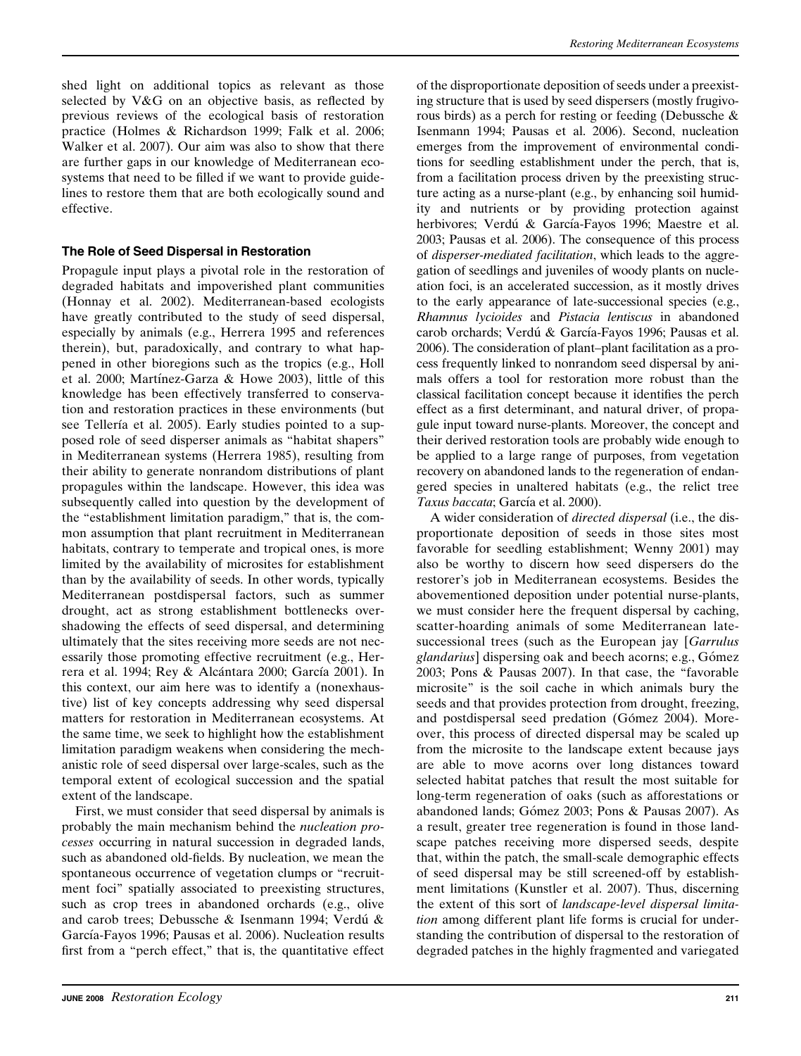shed light on additional topics as relevant as those selected by V&G on an objective basis, as reflected by previous reviews of the ecological basis of restoration practice (Holmes & Richardson 1999; Falk et al. 2006; Walker et al. 2007). Our aim was also to show that there are further gaps in our knowledge of Mediterranean ecosystems that need to be filled if we want to provide guidelines to restore them that are both ecologically sound and effective.

#### The Role of Seed Dispersal in Restoration

Propagule input plays a pivotal role in the restoration of degraded habitats and impoverished plant communities (Honnay et al. 2002). Mediterranean-based ecologists have greatly contributed to the study of seed dispersal, especially by animals (e.g., Herrera 1995 and references therein), but, paradoxically, and contrary to what happened in other bioregions such as the tropics (e.g., Holl et al. 2000; Martínez-Garza & Howe 2003), little of this knowledge has been effectively transferred to conservation and restoration practices in these environments (but see Tellería et al. 2005). Early studies pointed to a supposed role of seed disperser animals as ''habitat shapers'' in Mediterranean systems (Herrera 1985), resulting from their ability to generate nonrandom distributions of plant propagules within the landscape. However, this idea was subsequently called into question by the development of the "establishment limitation paradigm," that is, the common assumption that plant recruitment in Mediterranean habitats, contrary to temperate and tropical ones, is more limited by the availability of microsites for establishment than by the availability of seeds. In other words, typically Mediterranean postdispersal factors, such as summer drought, act as strong establishment bottlenecks overshadowing the effects of seed dispersal, and determining ultimately that the sites receiving more seeds are not necessarily those promoting effective recruitment (e.g., Herrera et al. 1994; Rey & Alcántara 2000; García 2001). In this context, our aim here was to identify a (nonexhaustive) list of key concepts addressing why seed dispersal matters for restoration in Mediterranean ecosystems. At the same time, we seek to highlight how the establishment limitation paradigm weakens when considering the mechanistic role of seed dispersal over large-scales, such as the temporal extent of ecological succession and the spatial extent of the landscape.

First, we must consider that seed dispersal by animals is probably the main mechanism behind the nucleation processes occurring in natural succession in degraded lands, such as abandoned old-fields. By nucleation, we mean the spontaneous occurrence of vegetation clumps or ''recruitment foci'' spatially associated to preexisting structures, such as crop trees in abandoned orchards (e.g., olive and carob trees; Debussche & Isenmann 1994; Verdú & García-Fayos 1996; Pausas et al. 2006). Nucleation results first from a "perch effect," that is, the quantitative effect

of the disproportionate deposition of seeds under a preexisting structure that is used by seed dispersers (mostly frugivorous birds) as a perch for resting or feeding (Debussche & Isenmann 1994; Pausas et al. 2006). Second, nucleation emerges from the improvement of environmental conditions for seedling establishment under the perch, that is, from a facilitation process driven by the preexisting structure acting as a nurse-plant (e.g., by enhancing soil humidity and nutrients or by providing protection against herbivores; Verdú & García-Fayos 1996; Maestre et al. 2003; Pausas et al. 2006). The consequence of this process of disperser-mediated facilitation, which leads to the aggregation of seedlings and juveniles of woody plants on nucleation foci, is an accelerated succession, as it mostly drives to the early appearance of late-successional species (e.g., Rhamnus lycioides and Pistacia lentiscus in abandoned carob orchards; Verdú & García-Fayos 1996; Pausas et al. 2006). The consideration of plant–plant facilitation as a process frequently linked to nonrandom seed dispersal by animals offers a tool for restoration more robust than the classical facilitation concept because it identifies the perch effect as a first determinant, and natural driver, of propagule input toward nurse-plants. Moreover, the concept and their derived restoration tools are probably wide enough to be applied to a large range of purposes, from vegetation recovery on abandoned lands to the regeneration of endangered species in unaltered habitats (e.g., the relict tree Taxus baccata; García et al. 2000).

A wider consideration of directed dispersal (i.e., the disproportionate deposition of seeds in those sites most favorable for seedling establishment; Wenny 2001) may also be worthy to discern how seed dispersers do the restorer's job in Mediterranean ecosystems. Besides the abovementioned deposition under potential nurse-plants, we must consider here the frequent dispersal by caching, scatter-hoarding animals of some Mediterranean latesuccessional trees (such as the European jay [Garrulus glandarius] dispersing oak and beech acorns; e.g., Gómez 2003; Pons & Pausas 2007). In that case, the ''favorable microsite'' is the soil cache in which animals bury the seeds and that provides protection from drought, freezing, and postdispersal seed predation (Gómez 2004). Moreover, this process of directed dispersal may be scaled up from the microsite to the landscape extent because jays are able to move acorns over long distances toward selected habitat patches that result the most suitable for long-term regeneration of oaks (such as afforestations or abandoned lands; Gómez 2003; Pons & Pausas 2007). As a result, greater tree regeneration is found in those landscape patches receiving more dispersed seeds, despite that, within the patch, the small-scale demographic effects of seed dispersal may be still screened-off by establishment limitations (Kunstler et al. 2007). Thus, discerning the extent of this sort of landscape-level dispersal limitation among different plant life forms is crucial for understanding the contribution of dispersal to the restoration of degraded patches in the highly fragmented and variegated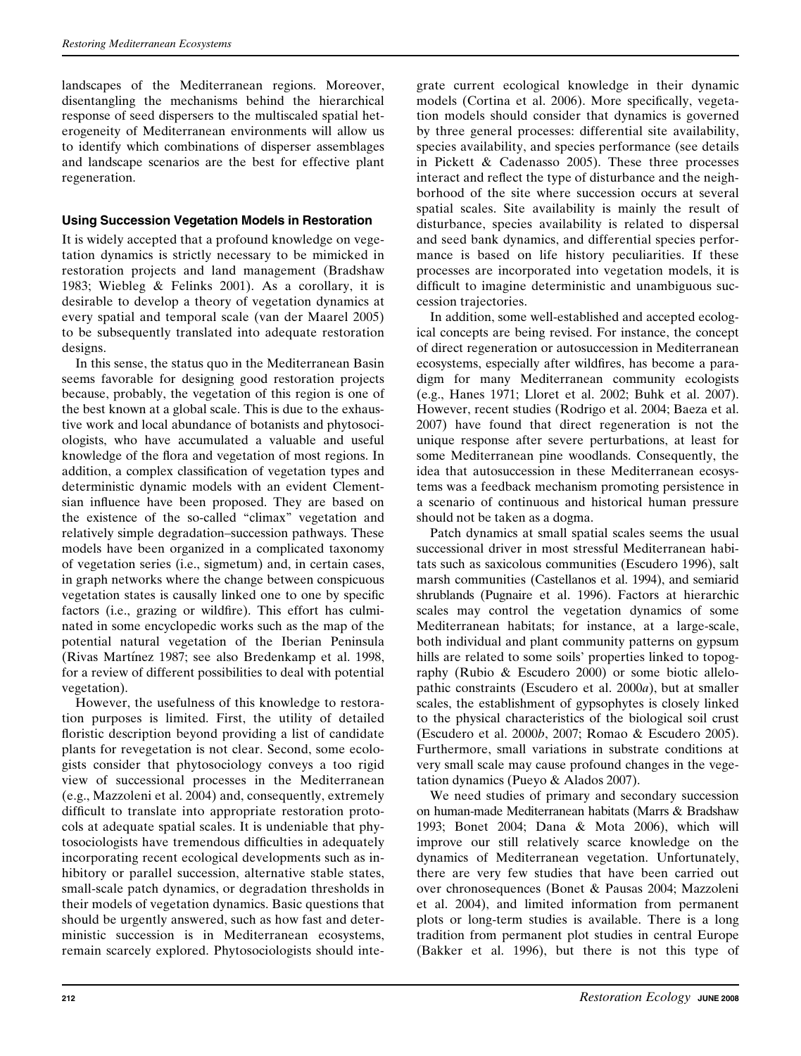landscapes of the Mediterranean regions. Moreover, disentangling the mechanisms behind the hierarchical response of seed dispersers to the multiscaled spatial heterogeneity of Mediterranean environments will allow us to identify which combinations of disperser assemblages and landscape scenarios are the best for effective plant regeneration.

## Using Succession Vegetation Models in Restoration

It is widely accepted that a profound knowledge on vegetation dynamics is strictly necessary to be mimicked in restoration projects and land management (Bradshaw 1983; Wiebleg & Felinks 2001). As a corollary, it is desirable to develop a theory of vegetation dynamics at every spatial and temporal scale (van der Maarel 2005) to be subsequently translated into adequate restoration designs.

In this sense, the status quo in the Mediterranean Basin seems favorable for designing good restoration projects because, probably, the vegetation of this region is one of the best known at a global scale. This is due to the exhaustive work and local abundance of botanists and phytosociologists, who have accumulated a valuable and useful knowledge of the flora and vegetation of most regions. In addition, a complex classification of vegetation types and deterministic dynamic models with an evident Clementsian influence have been proposed. They are based on the existence of the so-called ''climax'' vegetation and relatively simple degradation–succession pathways. These models have been organized in a complicated taxonomy of vegetation series (i.e., sigmetum) and, in certain cases, in graph networks where the change between conspicuous vegetation states is causally linked one to one by specific factors (i.e., grazing or wildfire). This effort has culminated in some encyclopedic works such as the map of the potential natural vegetation of the Iberian Peninsula (Rivas Martínez 1987; see also Bredenkamp et al. 1998, for a review of different possibilities to deal with potential vegetation).

However, the usefulness of this knowledge to restoration purposes is limited. First, the utility of detailed floristic description beyond providing a list of candidate plants for revegetation is not clear. Second, some ecologists consider that phytosociology conveys a too rigid view of successional processes in the Mediterranean (e.g., Mazzoleni et al. 2004) and, consequently, extremely difficult to translate into appropriate restoration protocols at adequate spatial scales. It is undeniable that phytosociologists have tremendous difficulties in adequately incorporating recent ecological developments such as inhibitory or parallel succession, alternative stable states, small-scale patch dynamics, or degradation thresholds in their models of vegetation dynamics. Basic questions that should be urgently answered, such as how fast and deterministic succession is in Mediterranean ecosystems, remain scarcely explored. Phytosociologists should integrate current ecological knowledge in their dynamic models (Cortina et al. 2006). More specifically, vegetation models should consider that dynamics is governed by three general processes: differential site availability, species availability, and species performance (see details in Pickett & Cadenasso 2005). These three processes interact and reflect the type of disturbance and the neighborhood of the site where succession occurs at several spatial scales. Site availability is mainly the result of disturbance, species availability is related to dispersal and seed bank dynamics, and differential species performance is based on life history peculiarities. If these processes are incorporated into vegetation models, it is difficult to imagine deterministic and unambiguous succession trajectories.

In addition, some well-established and accepted ecological concepts are being revised. For instance, the concept of direct regeneration or autosuccession in Mediterranean ecosystems, especially after wildfires, has become a paradigm for many Mediterranean community ecologists (e.g., Hanes 1971; Lloret et al. 2002; Buhk et al. 2007). However, recent studies (Rodrigo et al. 2004; Baeza et al. 2007) have found that direct regeneration is not the unique response after severe perturbations, at least for some Mediterranean pine woodlands. Consequently, the idea that autosuccession in these Mediterranean ecosystems was a feedback mechanism promoting persistence in a scenario of continuous and historical human pressure should not be taken as a dogma.

Patch dynamics at small spatial scales seems the usual successional driver in most stressful Mediterranean habitats such as saxicolous communities (Escudero 1996), salt marsh communities (Castellanos et al. 1994), and semiarid shrublands (Pugnaire et al. 1996). Factors at hierarchic scales may control the vegetation dynamics of some Mediterranean habitats; for instance, at a large-scale, both individual and plant community patterns on gypsum hills are related to some soils' properties linked to topography (Rubio & Escudero 2000) or some biotic allelopathic constraints (Escudero et al. 2000a), but at smaller scales, the establishment of gypsophytes is closely linked to the physical characteristics of the biological soil crust (Escudero et al. 2000b, 2007; Romao & Escudero 2005). Furthermore, small variations in substrate conditions at very small scale may cause profound changes in the vegetation dynamics (Pueyo & Alados 2007).

We need studies of primary and secondary succession on human-made Mediterranean habitats (Marrs & Bradshaw 1993; Bonet 2004; Dana & Mota 2006), which will improve our still relatively scarce knowledge on the dynamics of Mediterranean vegetation. Unfortunately, there are very few studies that have been carried out over chronosequences (Bonet & Pausas 2004; Mazzoleni et al. 2004), and limited information from permanent plots or long-term studies is available. There is a long tradition from permanent plot studies in central Europe (Bakker et al. 1996), but there is not this type of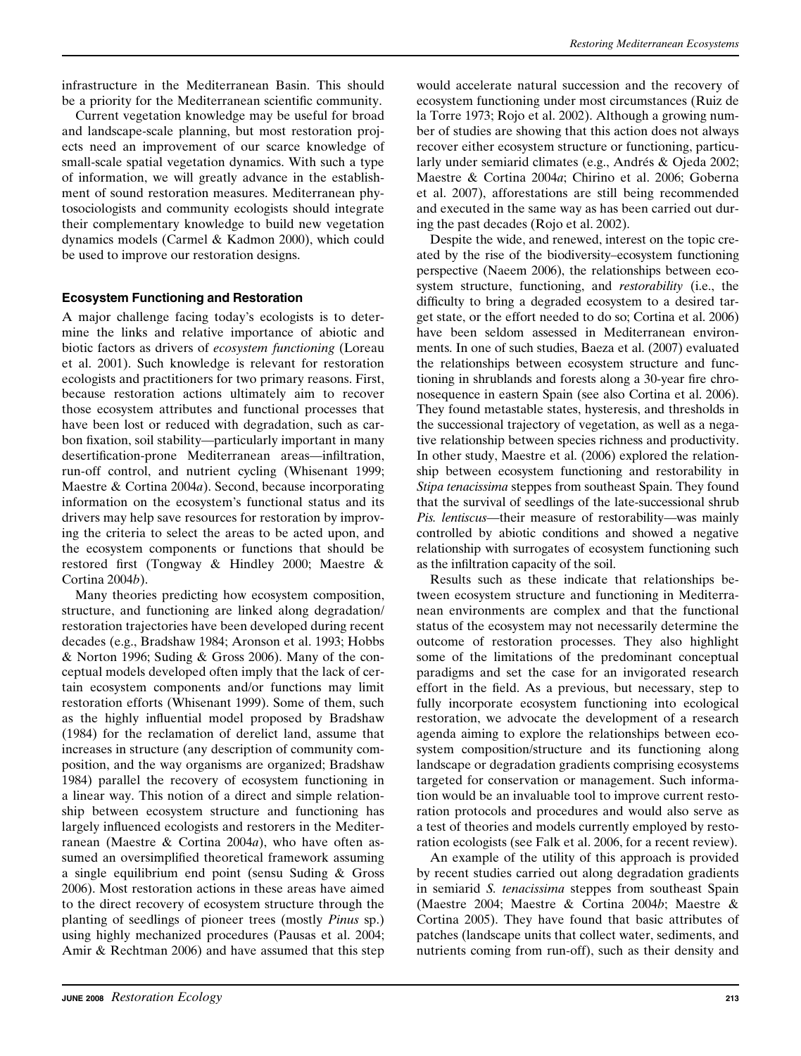infrastructure in the Mediterranean Basin. This should be a priority for the Mediterranean scientific community.

Current vegetation knowledge may be useful for broad and landscape-scale planning, but most restoration projects need an improvement of our scarce knowledge of small-scale spatial vegetation dynamics. With such a type of information, we will greatly advance in the establishment of sound restoration measures. Mediterranean phytosociologists and community ecologists should integrate their complementary knowledge to build new vegetation dynamics models (Carmel & Kadmon 2000), which could be used to improve our restoration designs.

#### Ecosystem Functioning and Restoration

A major challenge facing today's ecologists is to determine the links and relative importance of abiotic and biotic factors as drivers of ecosystem functioning (Loreau et al. 2001). Such knowledge is relevant for restoration ecologists and practitioners for two primary reasons. First, because restoration actions ultimately aim to recover those ecosystem attributes and functional processes that have been lost or reduced with degradation, such as carbon fixation, soil stability—particularly important in many desertification-prone Mediterranean areas—infiltration, run-off control, and nutrient cycling (Whisenant 1999; Maestre & Cortina 2004a). Second, because incorporating information on the ecosystem's functional status and its drivers may help save resources for restoration by improving the criteria to select the areas to be acted upon, and the ecosystem components or functions that should be restored first (Tongway & Hindley 2000; Maestre & Cortina 2004b).

Many theories predicting how ecosystem composition, structure, and functioning are linked along degradation/ restoration trajectories have been developed during recent decades (e.g., Bradshaw 1984; Aronson et al. 1993; Hobbs & Norton 1996; Suding & Gross 2006). Many of the conceptual models developed often imply that the lack of certain ecosystem components and/or functions may limit restoration efforts (Whisenant 1999). Some of them, such as the highly influential model proposed by Bradshaw (1984) for the reclamation of derelict land, assume that increases in structure (any description of community composition, and the way organisms are organized; Bradshaw 1984) parallel the recovery of ecosystem functioning in a linear way. This notion of a direct and simple relationship between ecosystem structure and functioning has largely influenced ecologists and restorers in the Mediterranean (Maestre & Cortina 2004a), who have often assumed an oversimplified theoretical framework assuming a single equilibrium end point (sensu Suding & Gross 2006). Most restoration actions in these areas have aimed to the direct recovery of ecosystem structure through the planting of seedlings of pioneer trees (mostly Pinus sp.) using highly mechanized procedures (Pausas et al. 2004; Amir & Rechtman 2006) and have assumed that this step

would accelerate natural succession and the recovery of ecosystem functioning under most circumstances (Ruiz de la Torre 1973; Rojo et al. 2002). Although a growing number of studies are showing that this action does not always recover either ecosystem structure or functioning, particularly under semiarid climates (e.g., Andrés & Ojeda 2002; Maestre & Cortina 2004a; Chirino et al. 2006; Goberna et al. 2007), afforestations are still being recommended and executed in the same way as has been carried out during the past decades (Rojo et al. 2002).

Despite the wide, and renewed, interest on the topic created by the rise of the biodiversity–ecosystem functioning perspective (Naeem 2006), the relationships between ecosystem structure, functioning, and *restorability* (i.e., the difficulty to bring a degraded ecosystem to a desired target state, or the effort needed to do so; Cortina et al. 2006) have been seldom assessed in Mediterranean environments. In one of such studies, Baeza et al. (2007) evaluated the relationships between ecosystem structure and functioning in shrublands and forests along a 30-year fire chronosequence in eastern Spain (see also Cortina et al. 2006). They found metastable states, hysteresis, and thresholds in the successional trajectory of vegetation, as well as a negative relationship between species richness and productivity. In other study, Maestre et al. (2006) explored the relationship between ecosystem functioning and restorability in Stipa tenacissima steppes from southeast Spain. They found that the survival of seedlings of the late-successional shrub Pis. lentiscus—their measure of restorability—was mainly controlled by abiotic conditions and showed a negative relationship with surrogates of ecosystem functioning such as the infiltration capacity of the soil.

Results such as these indicate that relationships between ecosystem structure and functioning in Mediterranean environments are complex and that the functional status of the ecosystem may not necessarily determine the outcome of restoration processes. They also highlight some of the limitations of the predominant conceptual paradigms and set the case for an invigorated research effort in the field. As a previous, but necessary, step to fully incorporate ecosystem functioning into ecological restoration, we advocate the development of a research agenda aiming to explore the relationships between ecosystem composition/structure and its functioning along landscape or degradation gradients comprising ecosystems targeted for conservation or management. Such information would be an invaluable tool to improve current restoration protocols and procedures and would also serve as a test of theories and models currently employed by restoration ecologists (see Falk et al. 2006, for a recent review).

An example of the utility of this approach is provided by recent studies carried out along degradation gradients in semiarid S. tenacissima steppes from southeast Spain (Maestre 2004; Maestre & Cortina 2004b; Maestre & Cortina 2005). They have found that basic attributes of patches (landscape units that collect water, sediments, and nutrients coming from run-off), such as their density and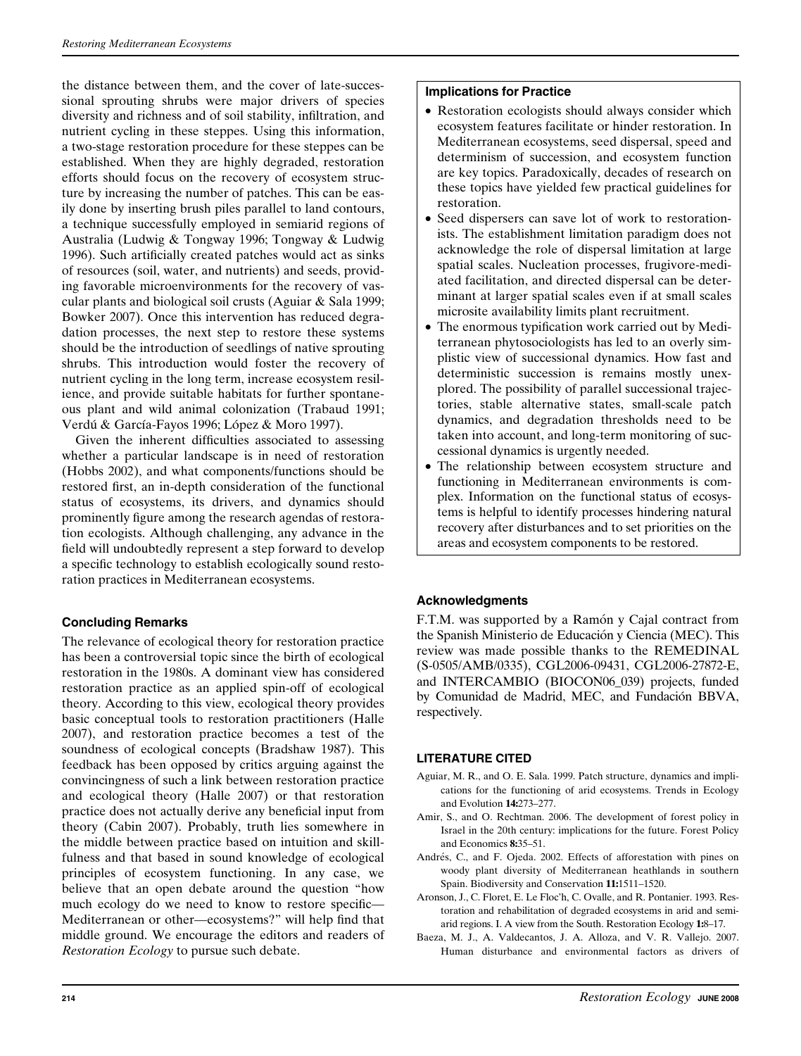the distance between them, and the cover of late-successional sprouting shrubs were major drivers of species diversity and richness and of soil stability, infiltration, and nutrient cycling in these steppes. Using this information, a two-stage restoration procedure for these steppes can be established. When they are highly degraded, restoration efforts should focus on the recovery of ecosystem structure by increasing the number of patches. This can be easily done by inserting brush piles parallel to land contours, a technique successfully employed in semiarid regions of Australia (Ludwig & Tongway 1996; Tongway & Ludwig 1996). Such artificially created patches would act as sinks of resources (soil, water, and nutrients) and seeds, providing favorable microenvironments for the recovery of vascular plants and biological soil crusts (Aguiar & Sala 1999; Bowker 2007). Once this intervention has reduced degradation processes, the next step to restore these systems should be the introduction of seedlings of native sprouting shrubs. This introduction would foster the recovery of nutrient cycling in the long term, increase ecosystem resilience, and provide suitable habitats for further spontaneous plant and wild animal colonization (Trabaud 1991; Verdú & García-Fayos 1996; López & Moro 1997).

Given the inherent difficulties associated to assessing whether a particular landscape is in need of restoration (Hobbs 2002), and what components/functions should be restored first, an in-depth consideration of the functional status of ecosystems, its drivers, and dynamics should prominently figure among the research agendas of restoration ecologists. Although challenging, any advance in the field will undoubtedly represent a step forward to develop a specific technology to establish ecologically sound restoration practices in Mediterranean ecosystems.

# Concluding Remarks

The relevance of ecological theory for restoration practice has been a controversial topic since the birth of ecological restoration in the 1980s. A dominant view has considered restoration practice as an applied spin-off of ecological theory. According to this view, ecological theory provides basic conceptual tools to restoration practitioners (Halle 2007), and restoration practice becomes a test of the soundness of ecological concepts (Bradshaw 1987). This feedback has been opposed by critics arguing against the convincingness of such a link between restoration practice and ecological theory (Halle 2007) or that restoration practice does not actually derive any beneficial input from theory (Cabin 2007). Probably, truth lies somewhere in the middle between practice based on intuition and skillfulness and that based in sound knowledge of ecological principles of ecosystem functioning. In any case, we believe that an open debate around the question ''how much ecology do we need to know to restore specific— Mediterranean or other—ecosystems?'' will help find that middle ground. We encourage the editors and readers of Restoration Ecology to pursue such debate.

#### Implications for Practice

- Restoration ecologists should always consider which ecosystem features facilitate or hinder restoration. In Mediterranean ecosystems, seed dispersal, speed and determinism of succession, and ecosystem function are key topics. Paradoxically, decades of research on these topics have yielded few practical guidelines for restoration.
- Seed dispersers can save lot of work to restorationists. The establishment limitation paradigm does not acknowledge the role of dispersal limitation at large spatial scales. Nucleation processes, frugivore-mediated facilitation, and directed dispersal can be determinant at larger spatial scales even if at small scales microsite availability limits plant recruitment.
- The enormous typification work carried out by Mediterranean phytosociologists has led to an overly simplistic view of successional dynamics. How fast and deterministic succession is remains mostly unexplored. The possibility of parallel successional trajectories, stable alternative states, small-scale patch dynamics, and degradation thresholds need to be taken into account, and long-term monitoring of successional dynamics is urgently needed.
- The relationship between ecosystem structure and functioning in Mediterranean environments is complex. Information on the functional status of ecosystems is helpful to identify processes hindering natural recovery after disturbances and to set priorities on the areas and ecosystem components to be restored.

### Acknowledgments

F.T.M. was supported by a Ramón y Cajal contract from the Spanish Ministerio de Educación y Ciencia (MEC). This review was made possible thanks to the REMEDINAL (S-0505/AMB/0335), CGL2006-09431, CGL2006-27872-E, and INTERCAMBIO (BIOCON06\_039) projects, funded by Comunidad de Madrid, MEC, and Fundación BBVA, respectively.

#### LITERATURE CITED

- Aguiar, M. R., and O. E. Sala. 1999. Patch structure, dynamics and implications for the functioning of arid ecosystems. Trends in Ecology and Evolution 14:273–277.
- Amir, S., and O. Rechtman. 2006. The development of forest policy in Israel in the 20th century: implications for the future. Forest Policy and Economics 8:35–51.
- Andrés, C., and F. Ojeda. 2002. Effects of afforestation with pines on woody plant diversity of Mediterranean heathlands in southern Spain. Biodiversity and Conservation 11:1511–1520.
- Aronson, J., C. Floret, E. Le Floc'h, C. Ovalle, and R. Pontanier. 1993. Restoration and rehabilitation of degraded ecosystems in arid and semiarid regions. I. A view from the South. Restoration Ecology 1:8–17.
- Baeza, M. J., A. Valdecantos, J. A. Alloza, and V. R. Vallejo. 2007. Human disturbance and environmental factors as drivers of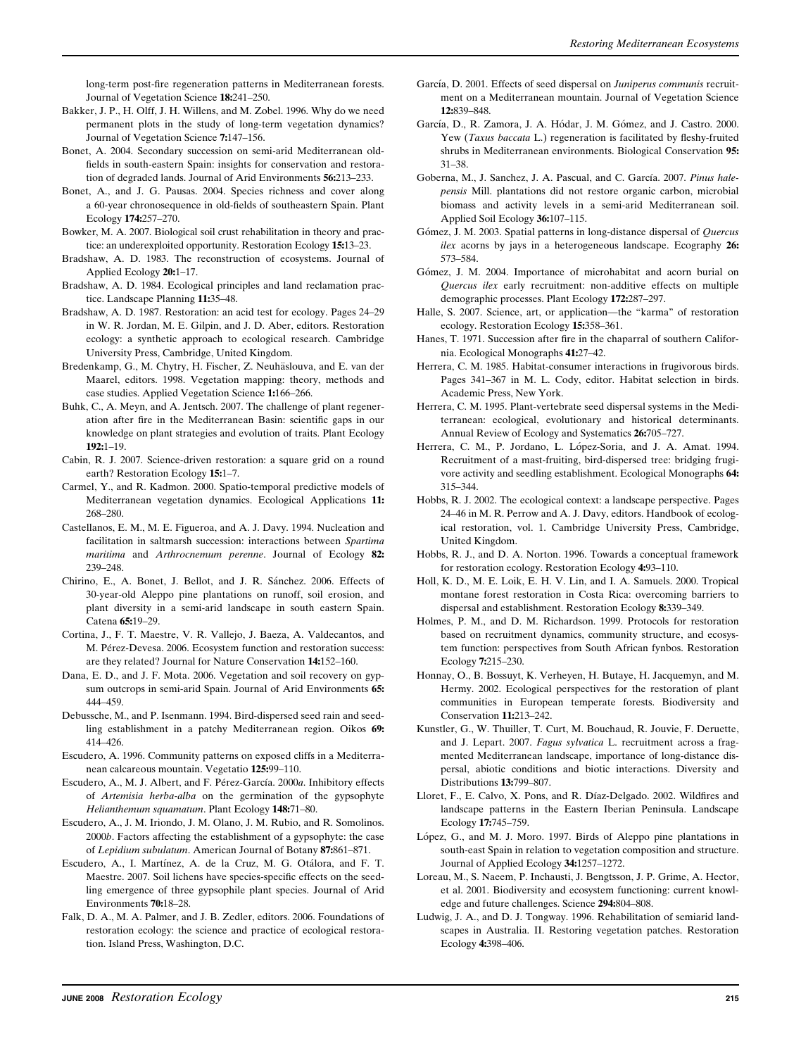long-term post-fire regeneration patterns in Mediterranean forests. Journal of Vegetation Science 18:241–250.

- Bakker, J. P., H. Olff, J. H. Willens, and M. Zobel. 1996. Why do we need permanent plots in the study of long-term vegetation dynamics? Journal of Vegetation Science 7:147–156.
- Bonet, A. 2004. Secondary succession on semi-arid Mediterranean oldfields in south-eastern Spain: insights for conservation and restoration of degraded lands. Journal of Arid Environments 56:213–233.
- Bonet, A., and J. G. Pausas. 2004. Species richness and cover along a 60-year chronosequence in old-fields of southeastern Spain. Plant Ecology 174:257–270.
- Bowker, M. A. 2007. Biological soil crust rehabilitation in theory and practice: an underexploited opportunity. Restoration Ecology 15:13–23.
- Bradshaw, A. D. 1983. The reconstruction of ecosystems. Journal of Applied Ecology 20:1–17.
- Bradshaw, A. D. 1984. Ecological principles and land reclamation practice. Landscape Planning 11:35–48.
- Bradshaw, A. D. 1987. Restoration: an acid test for ecology. Pages 24–29 in W. R. Jordan, M. E. Gilpin, and J. D. Aber, editors. Restoration ecology: a synthetic approach to ecological research. Cambridge University Press, Cambridge, United Kingdom.
- Bredenkamp, G., M. Chytry, H. Fischer, Z. Neuhäslouva, and E. van der Maarel, editors. 1998. Vegetation mapping: theory, methods and case studies. Applied Vegetation Science 1:166–266.
- Buhk, C., A. Meyn, and A. Jentsch. 2007. The challenge of plant regeneration after fire in the Mediterranean Basin: scientific gaps in our knowledge on plant strategies and evolution of traits. Plant Ecology 192:1–19.
- Cabin, R. J. 2007. Science-driven restoration: a square grid on a round earth? Restoration Ecology 15:1–7.
- Carmel, Y., and R. Kadmon. 2000. Spatio-temporal predictive models of Mediterranean vegetation dynamics. Ecological Applications 11: 268–280.
- Castellanos, E. M., M. E. Figueroa, and A. J. Davy. 1994. Nucleation and facilitation in saltmarsh succession: interactions between Spartima maritima and Arthrocnemum perenne. Journal of Ecology 82: 239–248.
- Chirino, E., A. Bonet, J. Bellot, and J. R. Sánchez. 2006. Effects of 30-year-old Aleppo pine plantations on runoff, soil erosion, and plant diversity in a semi-arid landscape in south eastern Spain. Catena 65:19–29.
- Cortina, J., F. T. Maestre, V. R. Vallejo, J. Baeza, A. Valdecantos, and M. Pérez-Devesa. 2006. Ecosystem function and restoration success: are they related? Journal for Nature Conservation 14:152–160.
- Dana, E. D., and J. F. Mota. 2006. Vegetation and soil recovery on gypsum outcrops in semi-arid Spain. Journal of Arid Environments 65: 444–459.
- Debussche, M., and P. Isenmann. 1994. Bird-dispersed seed rain and seedling establishment in a patchy Mediterranean region. Oikos 69: 414–426.
- Escudero, A. 1996. Community patterns on exposed cliffs in a Mediterranean calcareous mountain. Vegetatio 125:99–110.
- Escudero, A., M. J. Albert, and F. Pérez-García. 2000a. Inhibitory effects of Artemisia herba-alba on the germination of the gypsophyte Helianthemum squamatum. Plant Ecology 148:71–80.
- Escudero, A., J. M. Iriondo, J. M. Olano, J. M. Rubio, and R. Somolinos. 2000b. Factors affecting the establishment of a gypsophyte: the case of Lepidium subulatum. American Journal of Botany 87:861–871.
- Escudero, A., I. Martínez, A. de la Cruz, M. G. Otálora, and F. T. Maestre. 2007. Soil lichens have species-specific effects on the seedling emergence of three gypsophile plant species. Journal of Arid Environments 70:18–28.
- Falk, D. A., M. A. Palmer, and J. B. Zedler, editors. 2006. Foundations of restoration ecology: the science and practice of ecological restoration. Island Press, Washington, D.C.
- García, D. 2001. Effects of seed dispersal on Juniperus communis recruitment on a Mediterranean mountain. Journal of Vegetation Science 12:839–848.
- García, D., R. Zamora, J. A. Hódar, J. M. Gómez, and J. Castro. 2000. Yew (Taxus baccata L.) regeneration is facilitated by fleshy-fruited shrubs in Mediterranean environments. Biological Conservation 95: 31–38.
- Goberna, M., J. Sanchez, J. A. Pascual, and C. García. 2007. Pinus halepensis Mill. plantations did not restore organic carbon, microbial biomass and activity levels in a semi-arid Mediterranean soil. Applied Soil Ecology 36:107–115.
- Gómez, J. M. 2003. Spatial patterns in long-distance dispersal of Quercus ilex acorns by jays in a heterogeneous landscape. Ecography 26: 573–584.
- Gómez, J. M. 2004. Importance of microhabitat and acorn burial on Quercus ilex early recruitment: non-additive effects on multiple demographic processes. Plant Ecology 172:287–297.
- Halle, S. 2007. Science, art, or application—the ''karma'' of restoration ecology. Restoration Ecology 15:358–361.
- Hanes, T. 1971. Succession after fire in the chaparral of southern California. Ecological Monographs 41:27–42.
- Herrera, C. M. 1985. Habitat-consumer interactions in frugivorous birds. Pages 341–367 in M. L. Cody, editor. Habitat selection in birds. Academic Press, New York.
- Herrera, C. M. 1995. Plant-vertebrate seed dispersal systems in the Mediterranean: ecological, evolutionary and historical determinants. Annual Review of Ecology and Systematics 26:705–727.
- Herrera, C. M., P. Jordano, L. López-Soria, and J. A. Amat. 1994. Recruitment of a mast-fruiting, bird-dispersed tree: bridging frugivore activity and seedling establishment. Ecological Monographs 64: 315–344.
- Hobbs, R. J. 2002. The ecological context: a landscape perspective. Pages 24–46 in M. R. Perrow and A. J. Davy, editors. Handbook of ecological restoration, vol. 1. Cambridge University Press, Cambridge, United Kingdom.
- Hobbs, R. J., and D. A. Norton. 1996. Towards a conceptual framework for restoration ecology. Restoration Ecology 4:93–110.
- Holl, K. D., M. E. Loik, E. H. V. Lin, and I. A. Samuels. 2000. Tropical montane forest restoration in Costa Rica: overcoming barriers to dispersal and establishment. Restoration Ecology 8:339–349.
- Holmes, P. M., and D. M. Richardson. 1999. Protocols for restoration based on recruitment dynamics, community structure, and ecosystem function: perspectives from South African fynbos. Restoration Ecology 7:215–230.
- Honnay, O., B. Bossuyt, K. Verheyen, H. Butaye, H. Jacquemyn, and M. Hermy. 2002. Ecological perspectives for the restoration of plant communities in European temperate forests. Biodiversity and Conservation 11:213–242.
- Kunstler, G., W. Thuiller, T. Curt, M. Bouchaud, R. Jouvie, F. Deruette, and J. Lepart. 2007. Fagus sylvatica L. recruitment across a fragmented Mediterranean landscape, importance of long-distance dispersal, abiotic conditions and biotic interactions. Diversity and Distributions 13:799–807.
- Lloret, F., E. Calvo, X. Pons, and R. Díaz-Delgado. 2002. Wildfires and landscape patterns in the Eastern Iberian Peninsula. Landscape Ecology 17:745–759.
- López, G., and M. J. Moro. 1997. Birds of Aleppo pine plantations in south-east Spain in relation to vegetation composition and structure. Journal of Applied Ecology 34:1257–1272.
- Loreau, M., S. Naeem, P. Inchausti, J. Bengtsson, J. P. Grime, A. Hector, et al. 2001. Biodiversity and ecosystem functioning: current knowledge and future challenges. Science 294:804–808.
- Ludwig, J. A., and D. J. Tongway. 1996. Rehabilitation of semiarid landscapes in Australia. II. Restoring vegetation patches. Restoration Ecology 4:398–406.